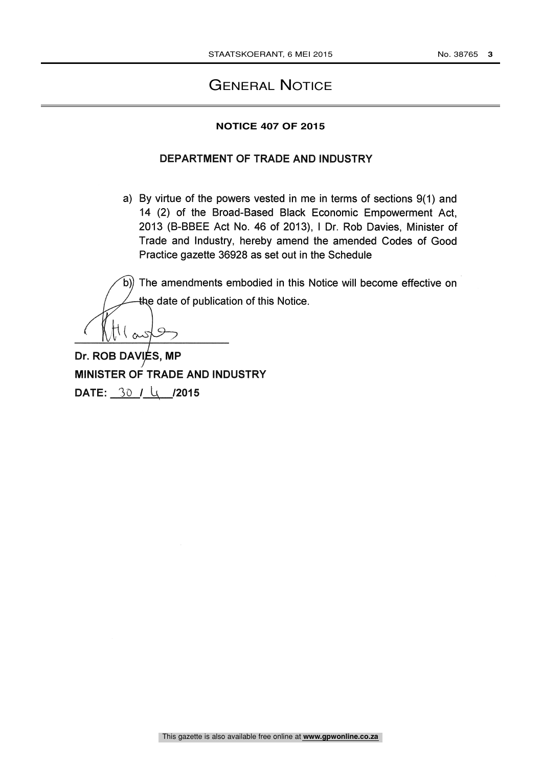# GENERAL NOTICE

#### **NOTICE 407 OF 2015**

## DEPARTMENT OF TRADE AND INDUSTRY

a) By virtue of the powers vested in me in terms of sections 9(1) and 14 (2) of the Broad-Based Black Economic Empowerment Act, 2013 (B-BBEE Act No. 46 of 2013), <sup>I</sup> Dr. Rob Davies, Minister of Trade and Industry, hereby amend the amended Codes of Good Practice gazette 36928 as set out in the Schedule

The amendments embodied in this Notice will become effective on the date of publication of this Notice.

S,  $\infty$ 

Dr. ROB DAVIES, MP MINISTER OF TRADE AND INDUSTRY DATE:  $30 / \mu$  /2015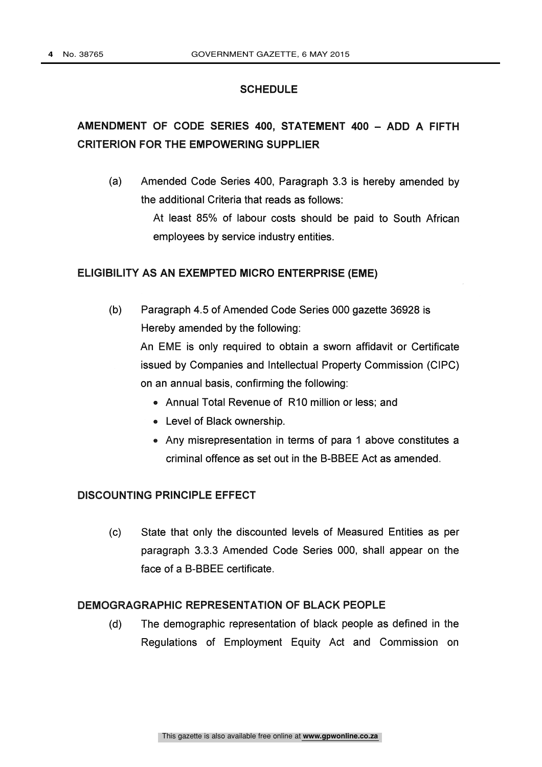#### **SCHEDULE**

# AMENDMENT OF CODE SERIES 400, STATEMENT 400 - ADD A FIFTH CRITERION FOR THE EMPOWERING SUPPLIER

(a) Amended Code Series 400, Paragraph 3.3 is hereby amended by the additional Criteria that reads as follows:

> At least 85% of labour costs should be paid to South African employees by service industry entities.

#### ELIGIBILITY AS AN EXEMPTED MICRO ENTERPRISE (EME)

- (b) Paragraph 4.5 of Amended Code Series 000 gazette 36928 is Hereby amended by the following: An EME is only required to obtain a sworn affidavit or Certificate issued by Companies and Intellectual Property Commission (CIPC) on an annual basis, confirming the following:
	- Annual Total Revenue of R10 million or less; and
	- Level of Black ownership.
	- Any misrepresentation in terms of para 1 above constitutes a criminal offence as set out in the B-BBEE Act as amended.

# DISCOUNTING PRINCIPLE EFFECT

(c) State that only the discounted levels of Measured Entities as per paragraph 3.3.3 Amended Code Series 000, shall appear on the face of a B-BBEE certificate.

# DEMOGRAGRAPHIC REPRESENTATION OF BLACK PEOPLE

(d) The demographic representation of black people as defined in the Regulations of Employment Equity Act and Commission on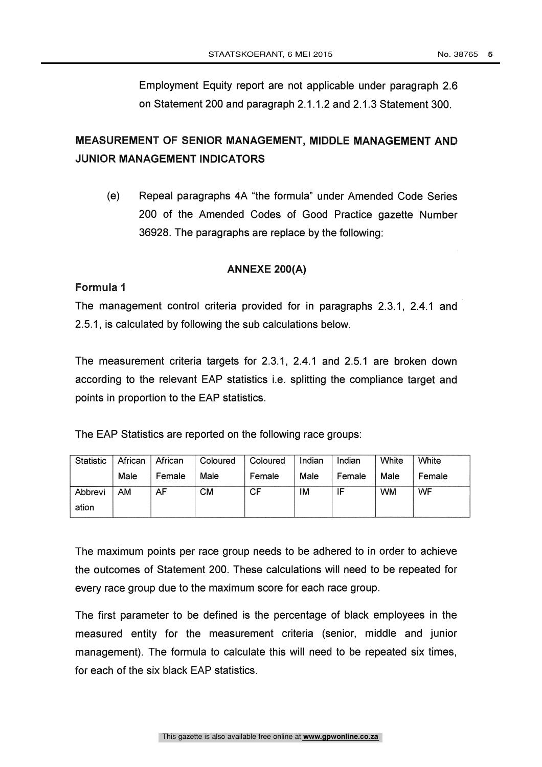Employment Equity report are not applicable under paragraph 2.6 on Statement 200 and paragraph 2.1.1.2 and 2.1.3 Statement 300.

# MEASUREMENT OF SENIOR MANAGEMENT, MIDDLE MANAGEMENT AND JUNIOR MANAGEMENT INDICATORS

(e) Repeal paragraphs 4A "the formula" under Amended Code Series 200 of the Amended Codes of Good Practice gazette Number 36928. The paragraphs are replace by the following:

## ANNEXE 200(A)

## Formula

The management control criteria provided for in paragraphs 2.3.1, 2.4.1 and 2.5.1, is calculated by following the sub calculations below.

The measurement criteria targets for 2.3.1, 2.4.1 and 2.5.1 are broken down according to the relevant EAP statistics i.e. splitting the compliance target and points in proportion to the EAP statistics.

The EAP Statistics are reported on the following race groups:

| Statistic | African | African | Coloured | Coloured | Indian | Indian | White     | White  |
|-----------|---------|---------|----------|----------|--------|--------|-----------|--------|
|           | Male    | Female  | Male     | Female   | Male   | Female | Male      | Female |
| Abbrevi   | AM      | AF      | см       | CF       | ıΜ     | -<br>► | <b>WM</b> | WF     |
| ation     |         |         |          |          |        |        |           |        |

The maximum points per race group needs to be adhered to in order to achieve the outcomes of Statement 200. These calculations will need to be repeated for every race group due to the maximum score for each race group.

The first parameter to be defined is the percentage of black employees in the measured entity for the measurement criteria (senior, middle and junior management). The formula to calculate this will need to be repeated six times, for each of the six black EAP statistics.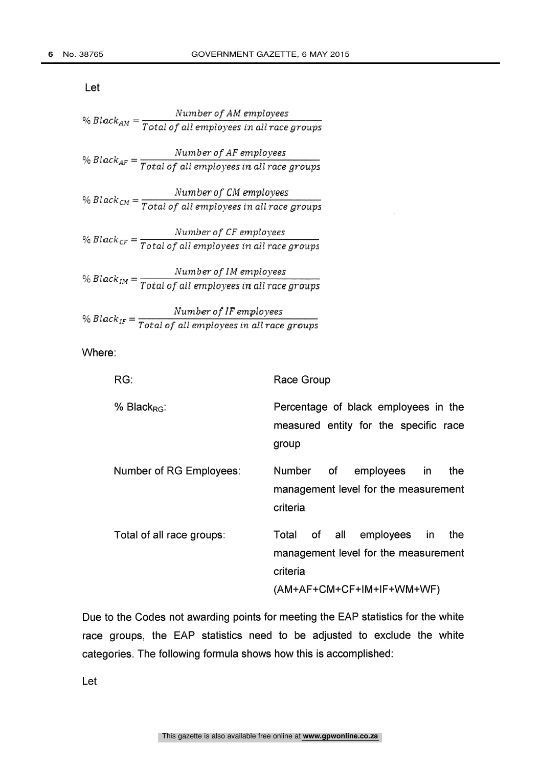|                           | Number of AM employees                                               |  |  |  |  |
|---------------------------|----------------------------------------------------------------------|--|--|--|--|
|                           | % $Black_{AM} = \frac{1}{Total of all employees in all race groups}$ |  |  |  |  |
|                           | Number of AF employees                                               |  |  |  |  |
| % Black <sub>AF</sub> $=$ | Total of all employees in all race groups                            |  |  |  |  |

% Black<sub>CM</sub> =  $\frac{\text{Number of CM employees}}{\text{Total of all numbers in all uses numbers}}$ Total of all employees in all race groups

 $Black_{CF} = \frac{7 \times 1000 \times 1000}{Total \ of \ all \ employees \ in \ all \ race \ groups}$ Number of CF employees

% Black $_{IM}$  =  $\frac{Number\, of\, IM\, employees}{Total\, of\, all\, employees\, in\, all\, race\, groups}$ 

% Black  $I_F = \frac{1}{Total of all employees in all race groups}$ Number of IF employees

Where:

| RG:                       | Race Group                                                                                                                            |
|---------------------------|---------------------------------------------------------------------------------------------------------------------------------------|
| % Black <sub>RG</sub> :   | Percentage of black employees in the<br>measured entity for the specific race<br>group                                                |
| Number of RG Employees:   | Number of<br>employees in<br>the<br>management level for the measurement<br>criteria                                                  |
| Total of all race groups: | employees<br>of all<br>the<br>Total<br><sub>in</sub><br>management level for the measurement<br>criteria<br>(AM+AF+CM+CF+IM+IF+WM+WF) |

Due to the Codes not awarding points for meeting the EAP statistics for the white race groups, the EAP statistics need to be adjusted to exclude the white categories. The following formula shows how this is accomplished:

Let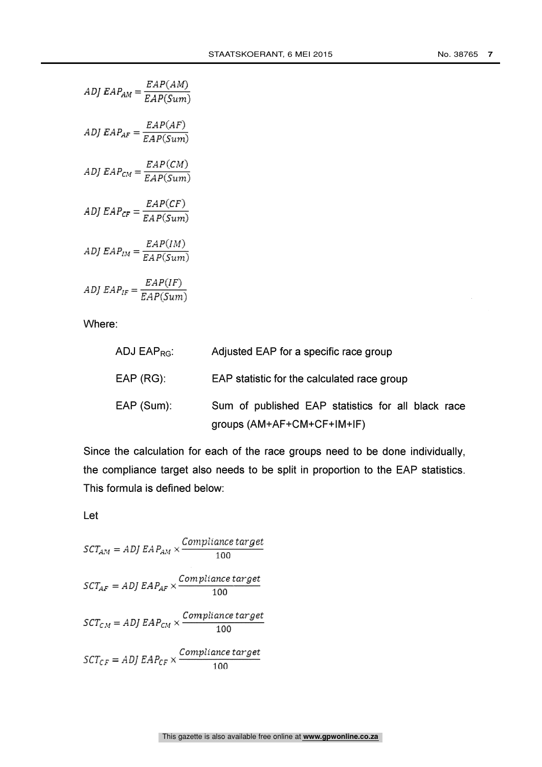$$
ADJ EAP_{AM} = \frac{EAP(AM)}{EAP(Sum)}
$$
  
\n
$$
ADJ EAP_{AF} = \frac{EAP(AF)}{EAP(Sum)}
$$
  
\n
$$
ADJ EAP_{CM} = \frac{EAP(CM)}{EAP(Sum)}
$$
  
\n
$$
ADJ EAP_{CF} = \frac{EAP(CF)}{EAP(Sum)}
$$
  
\n
$$
ADJ EAP_{IM} = \frac{EAP(IM)}{EAP(Sum)}
$$
  
\n
$$
ADJ EAP_{IF} = \frac{EAP(IF)}{EAP(Sum)}
$$

| ADJ $\mathsf{EAP}_{\mathsf{RG}}$ : | Adjusted EAP for a specific race group             |
|------------------------------------|----------------------------------------------------|
| $EAP$ (RG):                        | EAP statistic for the calculated race group        |
| $EAP$ (Sum):                       | Sum of published EAP statistics for all black race |
|                                    | groups $(AM+AF+CM+CF+IM+IF)$                       |

Since the calculation for each of the race groups need to be done individually, the compliance target also needs to be split in proportion to the EAP statistics. This formula is defined below:

Let

$$
SCT_{AM} = ADJ EAP_{AM} \times \frac{Compliance target}{100}
$$
  

$$
SCT_{AF} = ADJ EAP_{AF} \times \frac{Compliance target}{100}
$$
  

$$
SCT_{CM} = ADJ EAP_{CM} \times \frac{Compliance target}{100}
$$
  

$$
SCT_{CF} = ADJ EAP_{CF} \times \frac{Compliance target}{100}
$$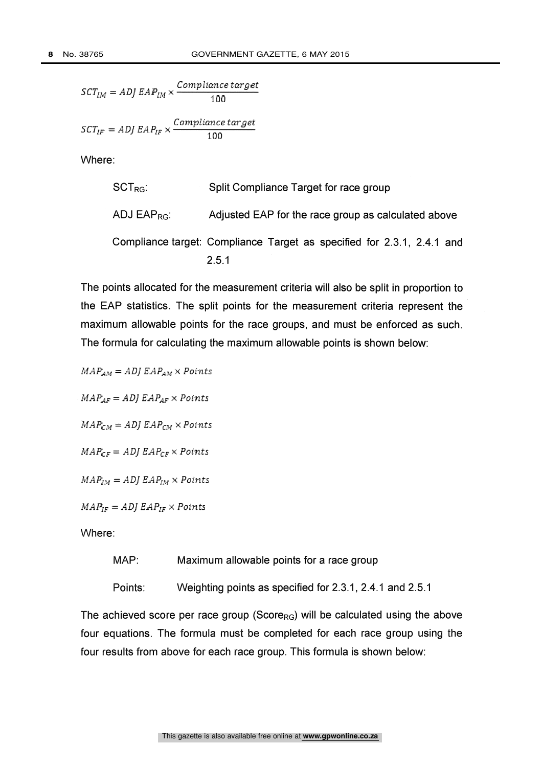$$
SCT_{IM} = ADJ\,EAP_{IM} \times \frac{Compliance\,target}{100}
$$

$$
SCT_{IF} = ADJ\,EAP_{IF} \times \frac{Compliance\,target}{100}
$$

\n
$$
\text{SCT}_{\text{RG}}
$$
 \n Split Compliance Target for race group  
\n $\text{ADJ EAP}_{\text{RG}}$  \n Adjusted EAP for the race group as calculated above  
\n $\text{Compliance target: Compliance Target as specified for } 2.3.1, 2.4.1, and$ \n $\text{2.5.1}$ \n

The points allocated for the measurement criteria will also be split in proportion to the EAP statistics. The split points for the measurement criteria represent the maximum allowable points for the race groups, and must be enforced as such. The formula for calculating the maximum allowable points is shown below:

 $MAP_{AM} = ADJ EAP_{AM} \times Points$ 

 $MAP_{AF}= ADJ EAP_{AF} \times Points$ 

 $MAP_{CM} = ADJ EAP_{CM} \times Points$ 

 $MAP_{CF} = ADJ EAP_{CF} \times Points$ 

 $MAP_{IM} = ADJ EAP_{IM} \times Points$ 

 $MAP_{IF} = ADJ EAP_{IF} \times Points$ 

Where:

MAP: Maximum allowable points for a race group

Points: Weighting points as specified for 2.3.1, 2.4.1 and 2.5.1

The achieved score per race group (Score<sub>RG</sub>) will be calculated using the above four equations. The formula must be completed for each race group using the four results from above for each race group. This formula is shown below: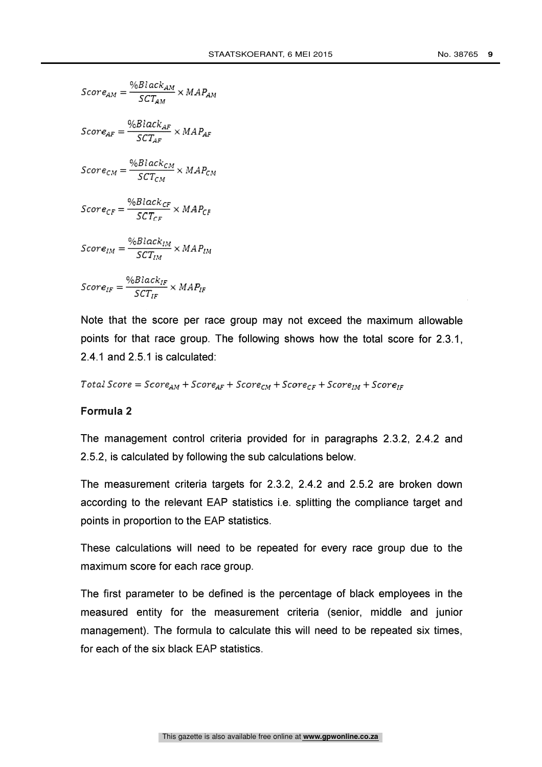$$
Score_{AM} = \frac{\%Black_{AM}}{SCT_{AM}} \times MAP_{AM}
$$
\n
$$
Score_{AF} = \frac{\%Black_{AF}}{SCT_{AF}} \times MAP_{AF}
$$
\n
$$
Score_{CM} = \frac{\%Black_{CM}}{SCT_{CM}} \times MAP_{CM}
$$
\n
$$
Score_{CF} = \frac{\%Black_{CF}}{SCT_{CF}} \times MAP_{CF}
$$
\n
$$
Score_{IM} = \frac{\%Black_{IM}}{SCT_{IM}} \times MAP_{IM}
$$
\n
$$
Score_{IF} = \frac{\%Black_{IF}}{SCT_{IF}} \times MAP_{IF}
$$

Note that the score per race group may not exceed the maximum allowable points for that race group. The following shows how the total score for 2.3.1, 2.4.1 and 2.5.1 is calculated:

 $Total Score = Score_{AM} + Score_{AF} + Score_{CM} + Score_{CF} + Score_{IM} + Score_{IF}$ 

#### Formula 2

The management control criteria provided for in paragraphs 2.3.2, 2.4.2 and 2.5.2, is calculated by following the sub calculations below.

The measurement criteria targets for 2.3.2, 2.4.2 and 2.5.2 are broken down according to the relevant EAP statistics i.e. splitting the compliance target and points in proportion to the EAP statistics.

These calculations will need to be repeated for every race group due to the maximum score for each race group.

The first parameter to be defined is the percentage of black employees in the measured entity for the measurement criteria (senior, middle and junior management). The formula to calculate this will need to be repeated six times, for each of the six black EAP statistics.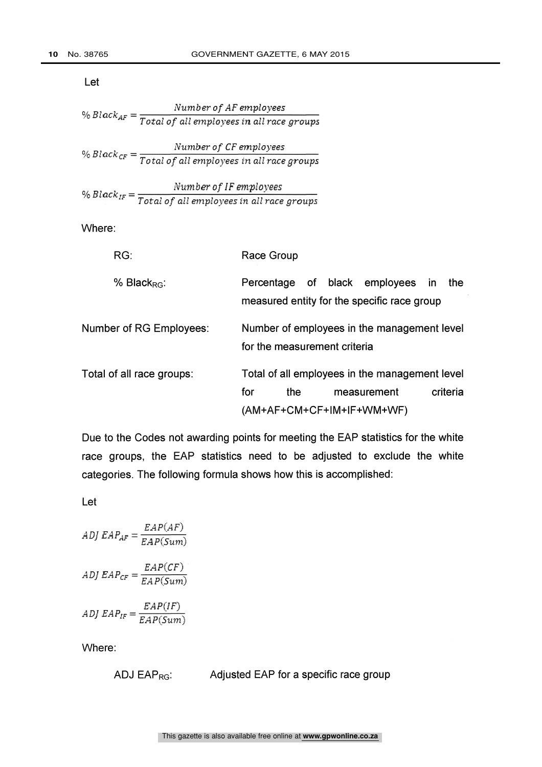Let

$$
\% Black_{AF} = \frac{Number\ of\ AF\ employees}{Total\ of\ all\ employees\ in\ all\ race\ groups}
$$

%  $Black_{CF} = \frac{7}{Total of all employees in all race groups}$ Number of CF employees

$$
\% \ Black_{IF} = \frac{Number\ of\ IF\ employees}{Total\ of\ all\ employees\ in\ all\ race\ groups}
$$

Where:

| RG:                       | Race Group                                                                                       |  |  |  |  |
|---------------------------|--------------------------------------------------------------------------------------------------|--|--|--|--|
| % Black <sub>RG</sub> :   | Percentage of black employees<br>the<br><b>in</b><br>measured entity for the specific race group |  |  |  |  |
| Number of RG Employees:   | Number of employees in the management level<br>for the measurement criteria                      |  |  |  |  |
| Total of all race groups: | Total of all employees in the management level                                                   |  |  |  |  |
|                           | criteria<br>for<br>measurement<br>the                                                            |  |  |  |  |
|                           | (AM+AF+CM+CF+IM+IF+WM+WF)                                                                        |  |  |  |  |

Due to the Codes not awarding points for meeting the EAP statistics for the white race groups, the EAP statistics need to be adjusted to exclude the white categories. The following formula shows how this is accomplished:

Let

$$
ADJ EAP_{AF} = \frac{EAP(AF)}{EAP(Sum)}
$$
  
\n
$$
ADJ EAP_{CF} = \frac{EAP(CF)}{EAP(Sum)}
$$
  
\n
$$
ADJ EAP_{IF} = \frac{EAP(IF)}{EAP(Sum)}
$$

Where:

ADJ  $EAP_{RG}$ : Adjusted EAP for a specific race group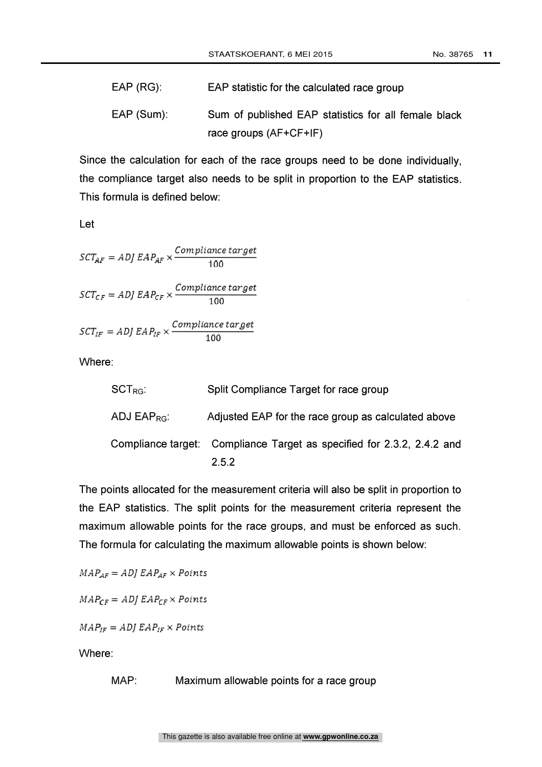| $EAP (RG)$ : | EAP statistic for the calculated race group          |
|--------------|------------------------------------------------------|
| $EAP(Sum)$ : | Sum of published EAP statistics for all female black |
|              | race groups (AF+CF+IF)                               |

Since the calculation for each of the race groups need to be done individually, the compliance target also needs to be split in proportion to the EAP statistics. This formula is defined below:

Let

$$
SCT_{AF} = ADJ EAP_{AF} \times \frac{Compliance\ target}{100}
$$
  

$$
SCT_{CF} = ADJ EAP_{CF} \times \frac{Compliance\ target}{100}
$$
  

$$
SCT_{IF} = ADJ EAP_{IF} \times \frac{Compliance\ target}{100}
$$

Where:

| $\mathsf{SCT}_{\mathsf{RG}}$ : | Split Compliance Target for race group                                 |
|--------------------------------|------------------------------------------------------------------------|
| ADJ EAP <sub>RG</sub>          | Adjusted EAP for the race group as calculated above                    |
|                                | Compliance target: Compliance Target as specified for 2.3.2, 2.4.2 and |
|                                | 2.5.2                                                                  |

The points allocated for the measurement criteria will also be split in proportion to the EAP statistics. The split points for the measurement criteria represent the maximum allowable points for the race groups, and must be enforced as such. The formula for calculating the maximum allowable points is shown below:

 $MAP_{AF} = ADJ EAP_{AF} \times Points$ 

 $MAP_{CF} = ADJ EAP_{CF} \times Points$ 

 $MAP_{IF} = ADJ EAP_{IF} \times Points$ 

Where:

MAP: Maximum allowable points for a race group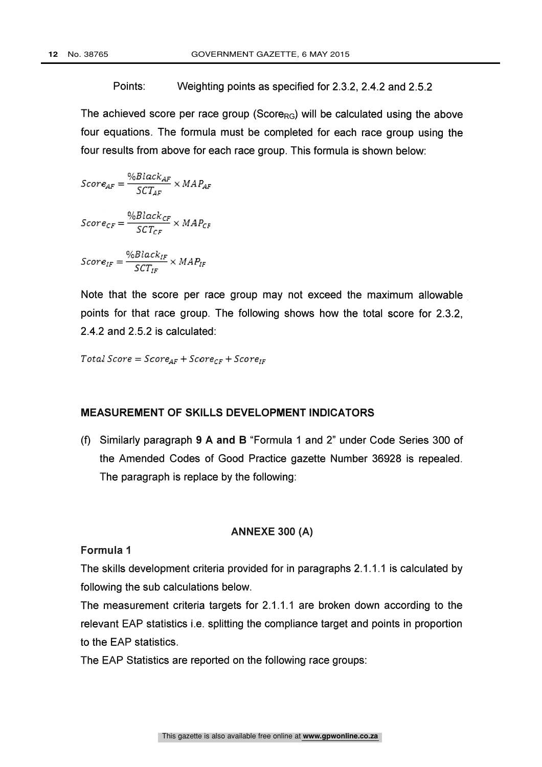Points: Weighting points as specified for 2.3.2, 2.4.2 and 2.5.2

The achieved score per race group (Score<sub>RG</sub>) will be calculated using the above four equations. The formula must be completed for each race group using the four results from above for each race group. This formula is shown below:

$$
Score_{AF} = \frac{\%Black_{AF}}{SCT_{AF}} \times MAP_{AF}
$$
\n
$$
Score_{CF} = \frac{\%Black_{CF}}{SCT_{CF}} \times MAP_{CF}
$$
\n
$$
Score_{IF} = \frac{\%Black_{IF}}{SCT_{IF}} \times MAP_{IF}
$$

Note that the score per race group may not exceed the maximum allowable points for that race group. The following shows how the total score for 2.3.2, 2.4.2 and 2.5.2 is calculated:

 $Total Score = Score_{AF} + Score_{CF} + Score_{IF}$ 

#### MEASUREMENT OF SKILLS DEVELOPMENT INDICATORS

(f) Similarly paragraph 9 A and B "Formula 1 and 2" under Code Series 300 of the Amended Codes of Good Practice gazette Number 36928 is repealed. The paragraph is replace by the following:

#### ANNEXE 300 (A)

#### Formula

The skills development criteria provided for in paragraphs 2.1.1.1 is calculated by following the sub calculations below.

The measurement criteria targets for 2.1.1.1 are broken down according to the relevant EAP statistics i.e. splitting the compliance target and points in proportion to the EAP statistics.

The EAP Statistics are reported on the following race groups: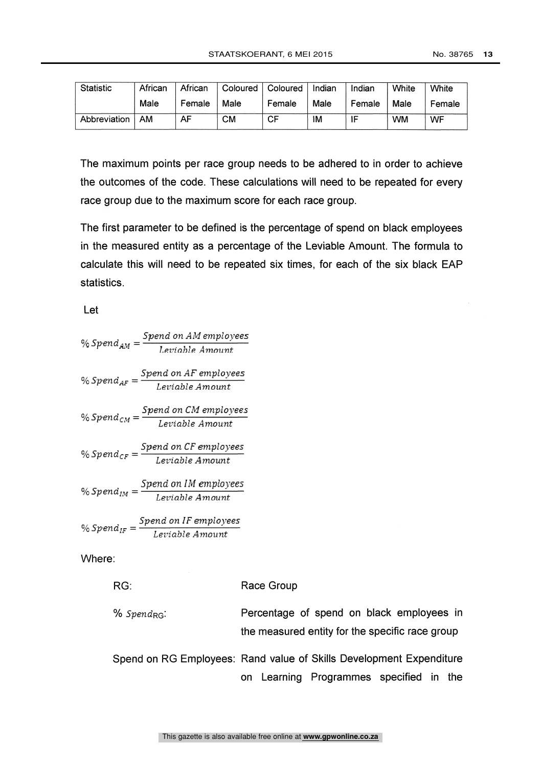| <b>Statistic</b> | African | African | Coloured | Coloured | Indian | Indian | White | White  |
|------------------|---------|---------|----------|----------|--------|--------|-------|--------|
|                  | Male    | Female  | Male     | Female   | Male   | Female | Male  | Female |
| Abbreviation     | AM      | AF      | CM       | СF       | ١M     | ᄠ      | wм    | WF     |

The maximum points per race group needs to be adhered to in order to achieve the outcomes of the code. These calculations will need to be repeated for every race group due to the maximum score for each race group.

The first parameter to be defined is the percentage of spend on black employees in the measured entity as a percentage of the Leviable Amount. The formula to calculate this will need to be repeated six times, for each of the six black EAP statistics.

Let

| % Spend <sub>AM</sub> = | Spend on AM employees                                                   |
|-------------------------|-------------------------------------------------------------------------|
|                         | Leviable Amount                                                         |
|                         | % $Spend_{AF} = \frac{Spend on AF employees}{Leviable Amount}$          |
|                         |                                                                         |
|                         | % Spend <sub>CM</sub> = $\frac{Spend on CM \, employees}{\cdot}$        |
|                         | Leviable Amount                                                         |
|                         | % $Spend_{CF} = \frac{Spend on CF \, employees}{\cdot}$                 |
|                         | Leviable Amount                                                         |
|                         | % Spend <sub>IM</sub> = $\frac{Spend on IM\ employees}$                 |
|                         | Leviable Amount                                                         |
|                         | % Spend <sub>IF</sub> = $\frac{Spend \; on \; IF \; employees}{\cdots}$ |
|                         | Leviable Amount                                                         |
|                         |                                                                         |

Where:

| RG:                        | Race Group                                                                                                        |
|----------------------------|-------------------------------------------------------------------------------------------------------------------|
| $\%$ Spend <sub>RG</sub> : | Percentage of spend on black employees in<br>the measured entity for the specific race group                      |
|                            | Spend on RG Employees: Rand value of Skills Development Expenditure<br>Learning Programmes specified in the<br>on |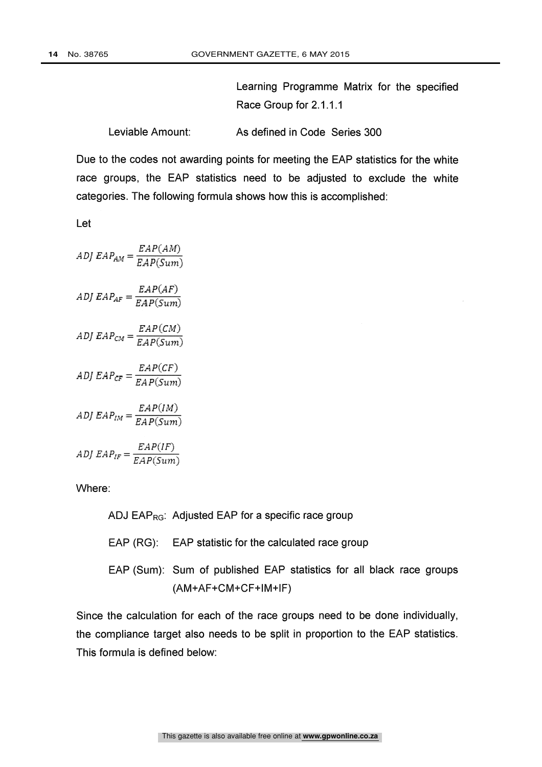Learning Programme Matrix for the specified Race Group for 2.1.1.1

Leviable Amount: As defined in Code Series 300

Due to the codes not awarding points for meeting the EAP statistics for the white race groups, the EAP statistics need to be adjusted to exclude the white categories. The following formula shows how this is accomplished:

Let

 $ADJ EAP_{AM} = \frac{EAP(AM)}{EAP(Sum)}$  $ADJ$   $EAP_{AF} = \frac{EAP(AF)}{EAP(Sum)}$ DJ  $EAP_{CM} = \frac{EAP(CM)}{EAP(Sum)}$ ADJ  $EAP_{CF} = \frac{1}{EAP(Sum)}$  $EAP(CF)$  $ADJ$   $EAP_{IM} = \frac{1}{EAP(Sum)}$  $EAP(IM)$  $ADJ EAP_{IF} = \frac{1}{EAP(Sum)}$  $EAP(IF)$ 

Where:

ADJ  $EAP_{RG}$ : Adjusted EAP for a specific race group

- EAP (RG): EAP statistic for the calculated race group
- EAP (Sum): Sum of published EAP statistics for all black race groups (AM+AF+CM+CF+1M+IF)

Since the calculation for each of the race groups need to be done individually, the compliance target also needs to be split in proportion to the EAP statistics. This formula is defined below: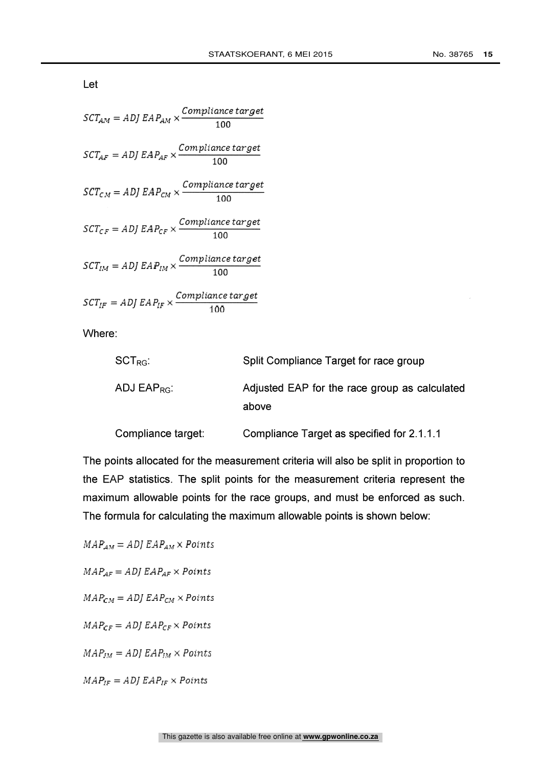Let

| $\textit{SCT}_{AM} = \textit{ADI} \ \textit{EAP}_{AM} \times \frac{\textit{Compliance target}}{100}$                                                                 |     |
|----------------------------------------------------------------------------------------------------------------------------------------------------------------------|-----|
| $\label{eq:STAF} \begin{aligned} \mathit{SCT}_{\mathit{AF}} = \mathit{ADI}\ \mathit{EAP}_{\mathit{AF}} \times \frac{\mathit{Compleance}\ target}{100} \end{aligned}$ |     |
| $\textit{SCT}_{\textit{CM}} = \textit{ADI EAP}_{\textit{CM}} \times \frac{\textit{Compiance target}}{100}$                                                           |     |
| $\label{eq:STcF} \begin{aligned} \mathit{SCT}_{\mathit{CF}} = \mathit{ADI}\ \mathit{EAP}_\mathit{CF} \times \frac{\mathit{Compliance\ target}}{100} \end{aligned}$   |     |
| $\textit{SCT}_{IM} = \textit{ADI EAP}_{IM} \times \frac{\textit{Compliance target}}{400}$                                                                            | 100 |
| $\label{eq:STIF} \begin{aligned} \mathit{SCT}_{IF} = \mathit{ADI}\ \mathit{EAP}_{IF} \times \frac{\mathit{Compliance\ target}}{100} \end{aligned}$                   |     |
| $M =$                                                                                                                                                                |     |

Where:

| $\mathsf{SCT}_{\mathsf{RG}}$ : | Split Compliance Target for race group                 |
|--------------------------------|--------------------------------------------------------|
| ADJ EAP <sub>RG</sub> :        | Adjusted EAP for the race group as calculated<br>above |
| Compliance target:             | Compliance Target as specified for 2.1.1.1             |

The points allocated for the measurement criteria will also be split in proportion to the EAP statistics. The split points for the measurement criteria represent the maximum allowable points for the race groups, and must be enforced as such. The formula for calculating the maximum allowable points is shown below:

 $MAP_{AM} = ADJ EAP_{AM} \times Points$ 

 $MAP_{AF} = ADJ EAP_{AF} \times Points$ 

 $MAP_{CM} = ADJ EAP_{CM} \times Points$ 

 $MAP_{CF} = ADJ EAP_{CF} \times Points$ 

 $MAP_{JM} = ADJ EAP_{JM} \times Points$ 

 $MAP_{IF} = ADJ EAP_{IF} \times Points$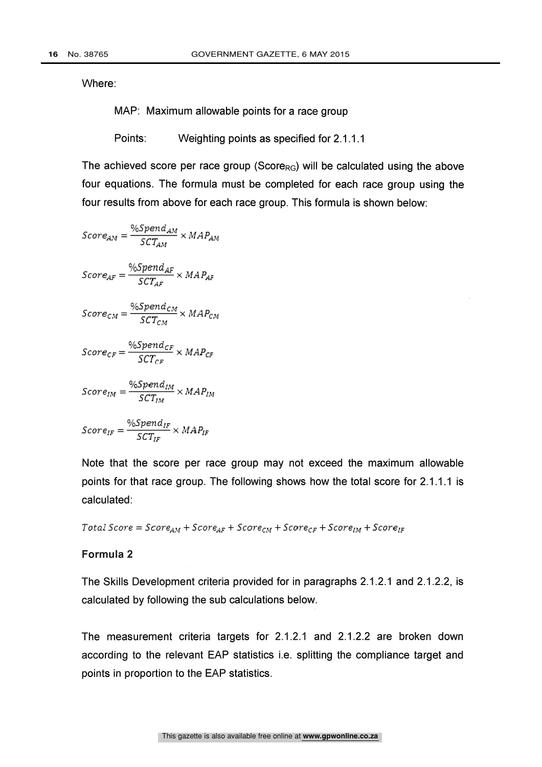MAP: Maximum allowable points for a race group

Points: Weighting points as specified for 2.1.1.1

The achieved score per race group (Score<sub>RG</sub>) will be calculated using the above four equations. The formula must be completed for each race group using the four results from above for each race group. This formula is shown below:

$$
Score_{AM} = \frac{\%Spend_{AM}}{SCT_{AM}} \times MAP_{AM}
$$
\n
$$
Score_{AF} = \frac{\%Spend_{AF}}{SCT_{AF}} \times MAP_{AF}
$$
\n
$$
Score_{CM} = \frac{\%Spend_{CM}}{SCT_{CM}} \times MAP_{CM}
$$
\n
$$
Score_{CF} = \frac{\%Spend_{CF}}{SCT_{CF}} \times MAP_{CF}
$$
\n
$$
Score_{IM} = \frac{\%Spend_{IM}}{SCT_{IM}} \times MAP_{IM}
$$
\n
$$
Score_{IF} = \frac{\%Spend_{IM}}{SCT_{IF}} \times MAP_{IF}
$$

Note that the score per race group may not exceed the maximum allowable points for that race group. The following shows how the total score for 2.1.1.1 is calculated:

Total Score =  $Score_{AM} + Score_{AF} + Score_{CM} + Score_{CF} + Score_{IM} + Score_{IF}$ 

#### Formula 2

The Skills Development criteria provided for in paragraphs 2.1.2.1 and 2.1.2.2, is calculated by following the sub calculations below.

The measurement criteria targets for 2.1.2.1 and 2.1.2.2 are broken down according to the relevant EAP statistics i.e. splitting the compliance target and points in proportion to the EAP statistics.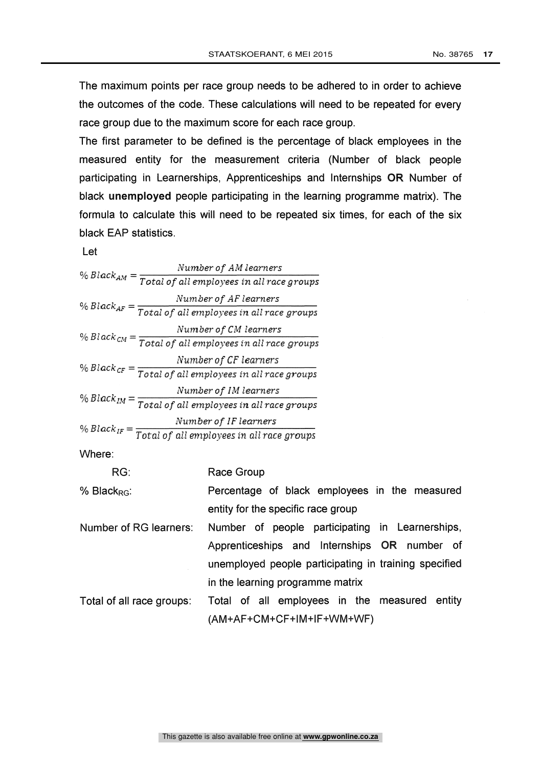The maximum points per race group needs to be adhered to in order to achieve the outcomes of the code. These calculations will need to be repeated for every race group due to the maximum score for each race group.

The first parameter to be defined is the percentage of black employees in the measured entity for the measurement criteria (Number of black people participating in Learnerships, Apprenticeships and Internships OR Number of black unemployed people participating in the learning programme matrix). The formula to calculate this will need to be repeated six times, for each of the six black EAP statistics.

Let

|                   | Number of AM learners                                                         |  |
|-------------------|-------------------------------------------------------------------------------|--|
|                   | % Black <sub>AM</sub> = $\frac{1}{Total of all employees in all race groups}$ |  |
|                   | Number of AF learners                                                         |  |
|                   | % Black $_{AF}$ = $\frac{1}{Total of all employees in all race groups}$       |  |
|                   | Number of CM learners                                                         |  |
|                   | % Black $_{CM}$ = $\frac{1}{Total of all employees in all race groups}$       |  |
|                   | Number of CF learners                                                         |  |
|                   | % Black $_{CF}$ = $\frac{1}{Total of all employees in all race groups}$       |  |
|                   | Number of IM learners                                                         |  |
|                   | % Black <sub>IM</sub> = $\frac{1}{Total of all employees in all race groups}$ |  |
| % Black $_{IF}$ = | Number of IF learners                                                         |  |
|                   | Total of all employees in all race groups                                     |  |

Where:

| % Black <sub>RG</sub> : | Percentage of black employees in the measured |  |  |  |
|-------------------------|-----------------------------------------------|--|--|--|
|                         | entity for the specific race group            |  |  |  |

- Number of RG learners: Number of people participating in Learnerships, Apprenticeships and Internships OR number of unemployed people participating in training specified in the learning programme matrix
- Total of all race groups: Total of all employees in the measured entity (AM+AF+CM+CF+IM+IF+WM+WF)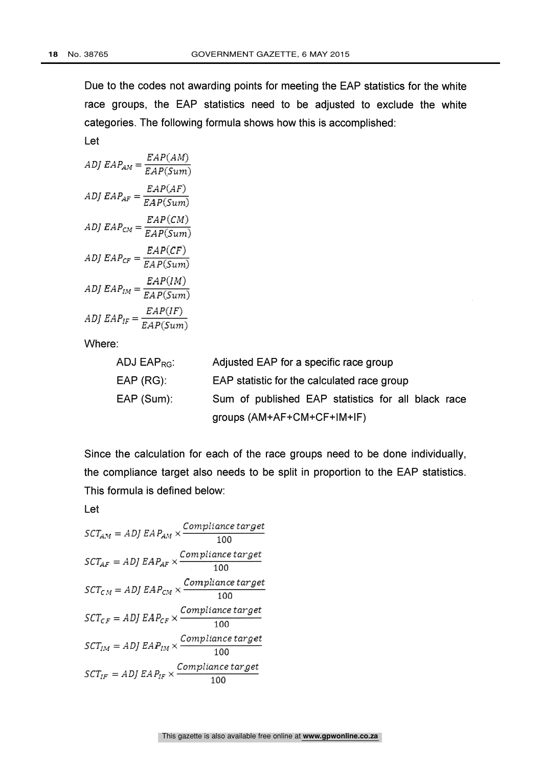Let

Due to the codes not awarding points for meeting the EAP statistics for the white race groups, the EAP statistics need to be adjusted to exclude the white categories. The following formula shows how this is accomplished:

$$
ADJ EAP_{AM} = \frac{EAP(AM)}{EAP(Sum)}
$$
  
\n
$$
ADJ EAP_{AF} = \frac{EAP(AF)}{EAP(Sum)}
$$
  
\n
$$
ADJ EAP_{CM} = \frac{EAP(CM)}{EAP(Sum)}
$$
  
\n
$$
ADJ EAP_{CF} = \frac{EAP(CF)}{EAP(Sum)}
$$
  
\n
$$
ADJ EAP_{IM} = \frac{EAP(IM)}{EAP(Sum)}
$$
  
\n
$$
ADJ EAP_{IF} = \frac{EAP(IF)}{EAP(Sum)}
$$

Where:

| ADJ $EAP_{RG}$ : | Adjusted EAP for a specific race group             |
|------------------|----------------------------------------------------|
| $EAP (RG)$ :     | EAP statistic for the calculated race group        |
| EAP (Sum):       | Sum of published EAP statistics for all black race |
|                  | groups (AM+AF+CM+CF+IM+IF)                         |

Since the calculation for each of the race groups need to be done individually, the compliance target also needs to be split in proportion to the EAP statistics. This formula is defined below:

Let

$$
SCT_{AM} = ADJ EAP_{AM} \times \frac{Compliance\ target}{100}
$$
  
\n
$$
SCT_{AF} = ADJ EAP_{AF} \times \frac{Compliance\ target}{100}
$$
  
\n
$$
SCT_{CM} = ADJ EAP_{CM} \times \frac{Compliance\ target}{100}
$$
  
\n
$$
SCT_{CF} = ADJ EAP_{CF} \times \frac{Compliance\ target}{100}
$$
  
\n
$$
SCT_{IM} = ADJ EAP_{IM} \times \frac{Compliance\ target}{100}
$$
  
\n
$$
SCT_{IF} = ADJ EAP_{IF} \times \frac{Compliance\ target}{100}
$$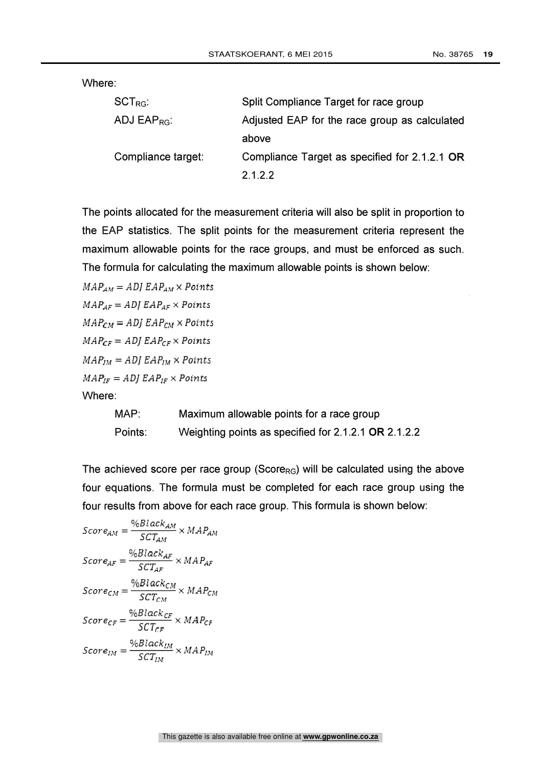| $\mathsf{SCT}_{\mathsf{RG}}$ : | Split Compliance Target for race group        |
|--------------------------------|-----------------------------------------------|
| ADJ EAP <sub>RG</sub> :        | Adjusted EAP for the race group as calculated |
|                                | above                                         |
| Compliance target:             | Compliance Target as specified for 2.1.2.1 OR |
|                                | 2.1.2.2                                       |

The points allocated for the measurement criteria will also be split in proportion to the EAP statistics. The split points for the measurement criteria represent the maximum allowable points for the race groups, and must be enforced as such. The formula for calculating the maximum allowable points is shown below:

 $MAP_{AM} = ADJ EAP_{AM} \times Points$  $MAP_{AF} = ADJ EAP_{AF} \times Points$  $MAP_{CM} = ADJ EAP_{CM} \times Points$  $MAP_{CF} = ADJ EAP_{CF} \times Points$  $MAP_{IM} = ADJ EAP_{IM} \times Points$  $MAP_{IF} = ADJ EAP_{IF} \times Points$ Where:

> MAP: Maximum allowable points for a race group Points: Weighting points as specified for 2.1.2.1 OR 2.1.2.2

The achieved score per race group (Score $_{RG}$ ) will be calculated using the above four equations. The formula must be completed for each race group using the four results from above for each race group. This formula is shown below:

$$
Score_{AM} = \frac{\%Black_{AM}}{SCT_{AM}} \times MAP_{AM}
$$
\n
$$
Score_{AF} = \frac{\%Black_{AF}}{SCT_{AF}} \times MAP_{AF}
$$
\n
$$
Score_{CM} = \frac{\%Black_{CM}}{SCT_{CM}} \times MAP_{CM}
$$
\n
$$
Score_{CF} = \frac{\%Black_{CF}}{SCT_{CF}} \times MAP_{CF}
$$
\n
$$
Score_{IM} = \frac{\%Black_{IM}}{SCT_{IM}} \times MAP_{IM}
$$